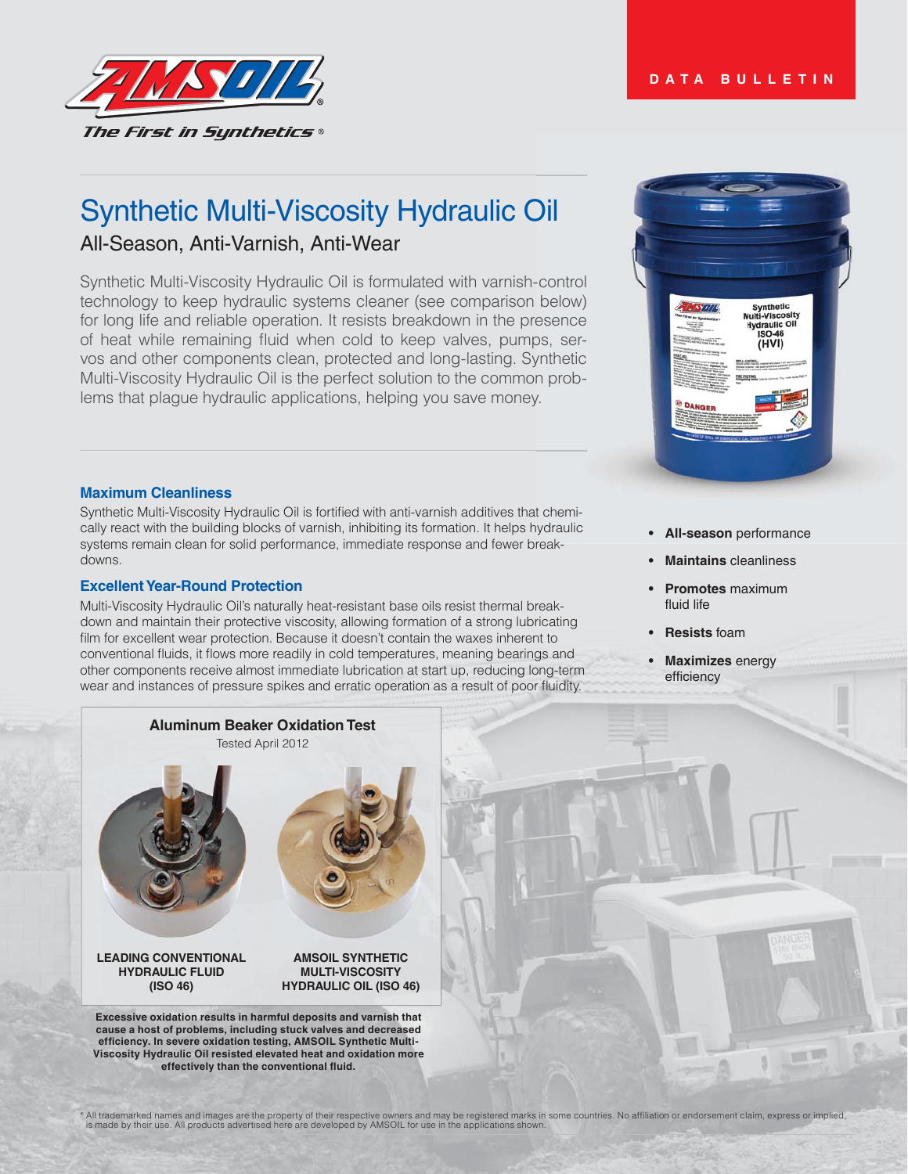



# Synthetic Multi-Viscosity Hydraulic Oil All-Season, Anti-Varnish, Anti-Wear

Synthetic Multi-Viscosity Hydraulic Oil is formulated with varnish-control technology to keep hydraulic systems cleaner (see comparison below) for long life and reliable operation. It resists breakdown in the presence of heat while remaining fluid when cold to keep valves, pumps, servos and other components clean, protected and long-lasting. Synthetic Multi-Viscosity Hydraulic Oil is the perfect solution to the common problems that plague hydraulic applications, helping you save money.

#### **Maximum Cleanliness**

Synthetic Multi-Viscosity Hydraulic Oil is fortified with anti-varnish additives that chemically react with the building blocks of varnish, inhibiting its formation. It helps hydraulic systems remain clean for solid performance, immediate response and fewer breakdowns.

#### **Excellent Year-Round Protection**

Multi-Viscosity Hydraulic Oil's naturally heat-resistant base oils resist thermal breakdown and maintain their protective viscosity, allowing formation of a strong lubricating film for excellent wear protection. Because it doesn't contain the waxes inherent to conventional fluids, it flows more readily in cold temperatures, meaning bearings and other components receive almost immediate lubrication at start up, reducing long-term wear and instances of pressure spikes and erratic operation as a result of poor fluidity.



- **All-season** performance
- **Maintains** cleanliness
- **Promotes** maximum **fluid life**
- **Resists** foam
- **Maximizes** energy efficiency

顺顺



effectively than the conventional fluid.

\* All trademarked names and images are the property of their respective owners and may be registered marks in some countries. No affiliation or endorsement claim, express or implied,<br>is made by their use. All products adve